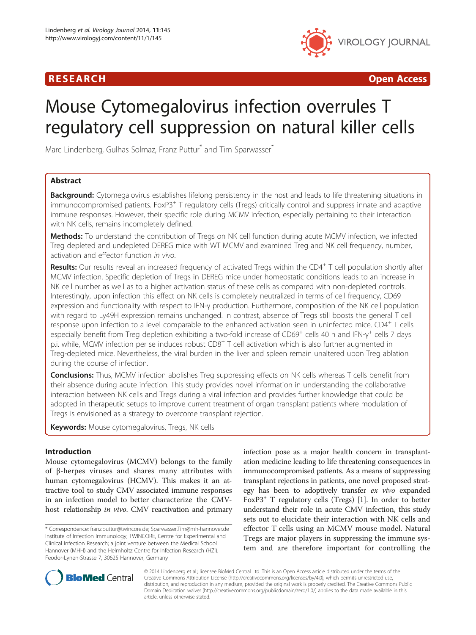

R E S EAR CH Open Access

# Mouse Cytomegalovirus infection overrules T regulatory cell suppression on natural killer cells

Marc Lindenberg, Gulhas Solmaz, Franz Puttur<sup>\*</sup> and Tim Sparwasser<sup>\*</sup>

# Abstract

Background: Cytomegalovirus establishes lifelong persistency in the host and leads to life threatening situations in immunocompromised patients. FoxP3<sup>+</sup> T regulatory cells (Tregs) critically control and suppress innate and adaptive immune responses. However, their specific role during MCMV infection, especially pertaining to their interaction with NK cells, remains incompletely defined.

Methods: To understand the contribution of Tregs on NK cell function during acute MCMV infection, we infected Treg depleted and undepleted DEREG mice with WT MCMV and examined Treg and NK cell frequency, number, activation and effector function in vivo.

Results: Our results reveal an increased frequency of activated Tregs within the CD4<sup>+</sup> T cell population shortly after MCMV infection. Specific depletion of Tregs in DEREG mice under homeostatic conditions leads to an increase in NK cell number as well as to a higher activation status of these cells as compared with non-depleted controls. Interestingly, upon infection this effect on NK cells is completely neutralized in terms of cell frequency, CD69 expression and functionality with respect to IFN-γ production. Furthermore, composition of the NK cell population with regard to Ly49H expression remains unchanged. In contrast, absence of Tregs still boosts the general T cell response upon infection to a level comparable to the enhanced activation seen in uninfected mice. CD4<sup>+</sup> T cells especially benefit from Treg depletion exhibiting a two-fold increase of CD69<sup>+</sup> cells 40 h and IFN-γ<sup>+</sup> cells 7 days p.i. while, MCMV infection per se induces robust CD8<sup>+</sup> T cell activation which is also further augmented in Treg-depleted mice. Nevertheless, the viral burden in the liver and spleen remain unaltered upon Treg ablation during the course of infection.

**Conclusions:** Thus, MCMV infection abolishes Treg suppressing effects on NK cells whereas T cells benefit from their absence during acute infection. This study provides novel information in understanding the collaborative interaction between NK cells and Tregs during a viral infection and provides further knowledge that could be adopted in therapeutic setups to improve current treatment of organ transplant patients where modulation of Tregs is envisioned as a strategy to overcome transplant rejection.

Keywords: Mouse cytomegalovirus, Tregs, NK cells

# Introduction

Mouse cytomegalovirus (MCMV) belongs to the family of β-herpes viruses and shares many attributes with human cytomegalovirus (HCMV). This makes it an attractive tool to study CMV associated immune responses in an infection model to better characterize the CMVhost relationship in vivo. CMV reactivation and primary

\* Correspondence: [franz.puttur@twincore.de;](mailto:franz.puttur@twincore.de) [Sparwasser.Tim@mh-hannover.de](mailto:Sparwasser.Tim@mh-hannover.de) Institute of Infection Immunology, TWINCORE, Centre for Experimental and Clinical Infection Research; a joint venture between the Medical School Hannover (MHH) and the Helmholtz Centre for Infection Research (HZI), Feodor-Lynen-Strasse 7, 30625 Hannover, Germany

infection pose as a major health concern in transplantation medicine leading to life threatening consequences in immunocompromised patients. As a means of suppressing transplant rejections in patients, one novel proposed strategy has been to adoptively transfer ex vivo expanded FoxP3+ T regulatory cells (Tregs) [[1](#page-9-0)]. In order to better understand their role in acute CMV infection, this study sets out to elucidate their interaction with NK cells and effector T cells using an MCMV mouse model. Natural Tregs are major players in suppressing the immune system and are therefore important for controlling the



© 2014 Lindenberg et al.; licensee BioMed Central Ltd. This is an Open Access article distributed under the terms of the Creative Commons Attribution License (<http://creativecommons.org/licenses/by/4.0>), which permits unrestricted use, distribution, and reproduction in any medium, provided the original work is properly credited. The Creative Commons Public Domain Dedication waiver [\(http://creativecommons.org/publicdomain/zero/1.0/\)](http://creativecommons.org/publicdomain/zero/1.0/) applies to the data made available in this article, unless otherwise stated.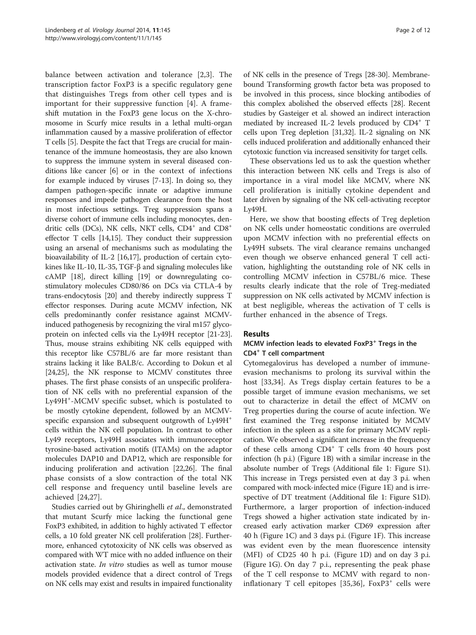balance between activation and tolerance [\[2](#page-9-0),[3\]](#page-9-0). The transcription factor FoxP3 is a specific regulatory gene that distinguishes Tregs from other cell types and is important for their suppressive function [[4](#page-9-0)]. A frameshift mutation in the FoxP3 gene locus on the X-chromosome in Scurfy mice results in a lethal multi-organ inflammation caused by a massive proliferation of effector T cells [[5\]](#page-9-0). Despite the fact that Tregs are crucial for maintenance of the immune homeostasis, they are also known to suppress the immune system in several diseased conditions like cancer [\[6](#page-9-0)] or in the context of infections for example induced by viruses [[7-13\]](#page-9-0). In doing so, they dampen pathogen-specific innate or adaptive immune responses and impede pathogen clearance from the host in most infectious settings. Treg suppression spans a diverse cohort of immune cells including monocytes, dendritic cells (DCs), NK cells, NKT cells,  $CD4^+$  and  $CD8^+$ effector T cells [[14](#page-9-0),[15](#page-9-0)]. They conduct their suppression using an arsenal of mechanisms such as modulating the bioavailability of IL-2 [[16](#page-9-0),[17](#page-9-0)], production of certain cytokines like IL-10, IL-35, TGF-β and signaling molecules like cAMP [[18](#page-9-0)], direct killing [[19](#page-9-0)] or downregulating costimulatory molecules CD80/86 on DCs via CTLA-4 by trans-endocytosis [\[20\]](#page-9-0) and thereby indirectly suppress T effector responses. During acute MCMV infection, NK cells predominantly confer resistance against MCMVinduced pathogenesis by recognizing the viral m157 glycoprotein on infected cells via the Ly49H receptor [[21](#page-9-0)-[23](#page-9-0)]. Thus, mouse strains exhibiting NK cells equipped with this receptor like C57BL/6 are far more resistant than strains lacking it like BALB/c. According to Dokun et al [[24,25](#page-9-0)], the NK response to MCMV constitutes three phases. The first phase consists of an unspecific proliferation of NK cells with no preferential expansion of the Ly49H<sup>+</sup>-MCMV specific subset, which is postulated to be mostly cytokine dependent, followed by an MCMVspecific expansion and subsequent outgrowth of  $Ly49H^+$ cells within the NK cell population. In contrast to other Ly49 receptors, Ly49H associates with immunoreceptor tyrosine-based activation motifs (ITAMs) on the adaptor molecules DAP10 and DAP12, which are responsible for inducing proliferation and activation [[22,26](#page-9-0)]. The final phase consists of a slow contraction of the total NK cell response and frequency until baseline levels are achieved [[24,27](#page-9-0)].

Studies carried out by Ghiringhelli et al., demonstrated that mutant Scurfy mice lacking the functional gene FoxP3 exhibited, in addition to highly activated T effector cells, a 10 fold greater NK cell proliferation [\[28\]](#page-10-0). Furthermore, enhanced cytotoxicity of NK cells was observed as compared with WT mice with no added influence on their activation state. In vitro studies as well as tumor mouse models provided evidence that a direct control of Tregs on NK cells may exist and results in impaired functionality

of NK cells in the presence of Tregs [[28](#page-10-0)-[30\]](#page-10-0). Membranebound Transforming growth factor beta was proposed to be involved in this process, since blocking antibodies of this complex abolished the observed effects [\[28\]](#page-10-0). Recent studies by Gasteiger et al. showed an indirect interaction mediated by increased IL-2 levels produced by CD4<sup>+</sup> T cells upon Treg depletion [[31,32](#page-10-0)]. IL-2 signaling on NK cells induced proliferation and additionally enhanced their cytotoxic function via increased sensitivity for target cells.

These observations led us to ask the question whether this interaction between NK cells and Tregs is also of importance in a viral model like MCMV, where NK cell proliferation is initially cytokine dependent and later driven by signaling of the NK cell-activating receptor Ly49H.

Here, we show that boosting effects of Treg depletion on NK cells under homeostatic conditions are overruled upon MCMV infection with no preferential effects on Ly49H subsets. The viral clearance remains unchanged even though we observe enhanced general T cell activation, highlighting the outstanding role of NK cells in controlling MCMV infection in C57BL/6 mice. These results clearly indicate that the role of Treg-mediated suppression on NK cells activated by MCMV infection is at best negligible, whereas the activation of T cells is further enhanced in the absence of Tregs.

# Results

# MCMV infection leads to elevated Fox $P3$ <sup>+</sup> Tregs in the CD4<sup>+</sup> T cell compartment

Cytomegalovirus has developed a number of immuneevasion mechanisms to prolong its survival within the host [[33,34\]](#page-10-0). As Tregs display certain features to be a possible target of immune evasion mechanisms, we set out to characterize in detail the effect of MCMV on Treg properties during the course of acute infection. We first examined the Treg response initiated by MCMV infection in the spleen as a site for primary MCMV replication. We observed a significant increase in the frequency of these cells among  $CD4^+$  T cells from 40 hours post infection (h p.i.) (Figure [1B](#page-2-0)) with a similar increase in the absolute number of Tregs (Additional file [1:](#page-8-0) Figure S1). This increase in Tregs persisted even at day 3 p.i. when compared with mock-infected mice (Figure [1](#page-2-0)E) and is irrespective of DT treatment (Additional file [1:](#page-8-0) Figure S1D). Furthermore, a larger proportion of infection-induced Tregs showed a higher activation state indicated by increased early activation marker CD69 expression after 40 h (Figure [1](#page-2-0)C) and 3 days p.i. (Figure [1](#page-2-0)F). This increase was evident even by the mean fluorescence intensity (MFI) of CD25 40 h p.i. (Figure [1](#page-2-0)D) and on day 3 p.i. (Figure [1G](#page-2-0)). On day 7 p.i., representing the peak phase of the T cell response to MCMV with regard to non-inflationary T cell epitopes [[35,36](#page-10-0)],  $FoxP3<sup>+</sup>$  cells were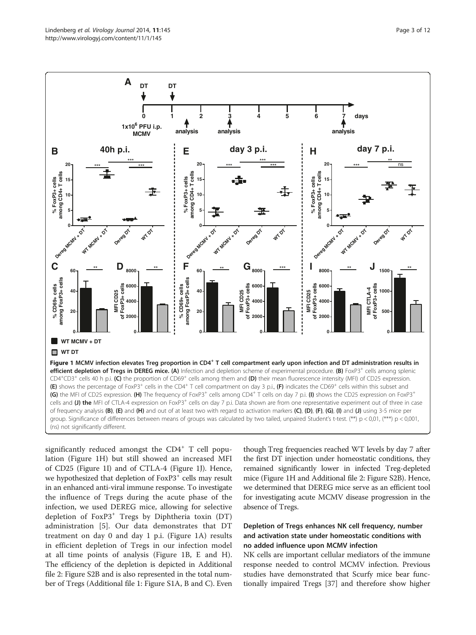<span id="page-2-0"></span>

significantly reduced amongst the  $CD4^+$  T cell population (Figure 1H) but still showed an increased MFI of CD25 (Figure 1I) and of CTLA-4 (Figure 1J). Hence, we hypothesized that depletion of  $FoxP3<sup>+</sup>$  cells may result in an enhanced anti-viral immune response. To investigate the influence of Tregs during the acute phase of the infection, we used DEREG mice, allowing for selective depletion of FoxP3<sup>+</sup> Tregs by Diphtheria toxin (DT) administration [\[5](#page-9-0)]. Our data demonstrates that DT treatment on day 0 and day 1 p.i. (Figure 1A) results in efficient depletion of Tregs in our infection model at all time points of analysis (Figure 1B, E and H). The efficiency of the depletion is depicted in Additional file [2](#page-8-0): Figure S2B and is also represented in the total number of Tregs (Additional file [1](#page-8-0): Figure S1A, B and C). Even though Treg frequencies reached WT levels by day 7 after the first DT injection under homeostatic conditions, they remained significantly lower in infected Treg-depleted mice (Figure 1H and Additional file [2:](#page-8-0) Figure S2B). Hence, we determined that DEREG mice serve as an efficient tool for investigating acute MCMV disease progression in the absence of Tregs.

# Depletion of Tregs enhances NK cell frequency, number and activation state under homeostatic conditions with no added influence upon MCMV infection

NK cells are important cellular mediators of the immune response needed to control MCMV infection. Previous studies have demonstrated that Scurfy mice bear functionally impaired Tregs [[37\]](#page-10-0) and therefore show higher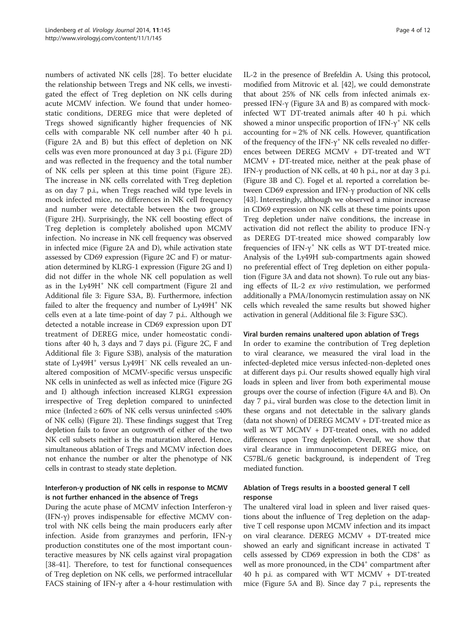numbers of activated NK cells [[28](#page-10-0)]. To better elucidate the relationship between Tregs and NK cells, we investigated the effect of Treg depletion on NK cells during acute MCMV infection. We found that under homeostatic conditions, DEREG mice that were depleted of Tregs showed significantly higher frequencies of NK cells with comparable NK cell number after 40 h p.i. (Figure [2](#page-4-0)A and B) but this effect of depletion on NK cells was even more pronounced at day 3 p.i. (Figure [2](#page-4-0)D) and was reflected in the frequency and the total number of NK cells per spleen at this time point (Figure [2E](#page-4-0)). The increase in NK cells correlated with Treg depletion as on day 7 p.i., when Tregs reached wild type levels in mock infected mice, no differences in NK cell frequency and number were detectable between the two groups (Figure [2](#page-4-0)H). Surprisingly, the NK cell boosting effect of Treg depletion is completely abolished upon MCMV infection. No increase in NK cell frequency was observed in infected mice (Figure [2A](#page-4-0) and D), while activation state assessed by CD69 expression (Figure [2C](#page-4-0) and F) or maturation determined by KLRG-1 expression (Figure [2G](#page-4-0) and I) did not differ in the whole NK cell population as well as in the Ly49H<sup>+</sup> NK cell compartment (Figure [2](#page-4-0)I and Additional file [3](#page-9-0): Figure S3A, B). Furthermore, infection failed to alter the frequency and number of Ly49H<sup>+</sup> NK cells even at a late time-point of day 7 p.i.. Although we detected a notable increase in CD69 expression upon DT treatment of DEREG mice, under homeostatic conditions after 40 h, 3 days and 7 days p.i. (Figure [2](#page-4-0)C, F and Additional file [3:](#page-9-0) Figure S3B), analysis of the maturation state of Ly49H<sup>+</sup> versus Ly49H<sup>-</sup> NK cells revealed an unaltered composition of MCMV-specific versus unspecific NK cells in uninfected as well as infected mice (Figure [2](#page-4-0)G and I) although infection increased KLRG1 expression irrespective of Treg depletion compared to uninfected mice (Infected ≥ 60% of NK cells versus uninfected ≤40% of NK cells) (Figure [2](#page-4-0)I). These findings suggest that Treg depletion fails to favor an outgrowth of either of the two NK cell subsets neither is the maturation altered. Hence, simultaneous ablation of Tregs and MCMV infection does not enhance the number or alter the phenotype of NK cells in contrast to steady state depletion.

# Interferon-γ production of NK cells in response to MCMV is not further enhanced in the absence of Tregs

During the acute phase of MCMV infection Interferon-γ (IFN-γ) proves indispensable for effective MCMV control with NK cells being the main producers early after infection. Aside from granzymes and perforin, IFN-γ production constitutes one of the most important counteractive measures by NK cells against viral propagation [[38-41](#page-10-0)]. Therefore, to test for functional consequences of Treg depletion on NK cells, we performed intracellular FACS staining of IFN- $\gamma$  after a 4-hour restimulation with IL-2 in the presence of Brefeldin A. Using this protocol, modified from Mitrovic et al. [\[42\]](#page-10-0), we could demonstrate that about 25% of NK cells from infected animals expressed IFN-γ (Figure [3](#page-5-0)A and B) as compared with mockinfected WT DT-treated animals after 40 h p.i. which showed a minor unspecific proportion of IFN- $\gamma^+$  NK cells accounting for  $\approx 2\%$  of NK cells. However, quantification of the frequency of the IFN- $\gamma^+$  NK cells revealed no differences between DEREG MCMV + DT-treated and WT MCMV + DT-treated mice, neither at the peak phase of IFN-γ production of NK cells, at 40 h p.i., nor at day 3 p.i. (Figure [3](#page-5-0)B and C). Fogel et al. reported a correlation between CD69 expression and IFN-γ production of NK cells [[43](#page-10-0)]. Interestingly, although we observed a minor increase in CD69 expression on NK cells at these time points upon Treg depletion under naïve conditions, the increase in activation did not reflect the ability to produce IFN-γ as DEREG DT-treated mice showed comparably low frequencies of IFN- $\gamma$ <sup>+</sup> NK cells as WT DT-treated mice. Analysis of the Ly49H sub-compartments again showed no preferential effect of Treg depletion on either population (Figure [3A](#page-5-0) and data not shown). To rule out any biasing effects of IL-2 ex vivo restimulation, we performed additionally a PMA/Ionomycin restimulation assay on NK cells which revealed the same results but showed higher activation in general (Additional file [3:](#page-9-0) Figure S3C).

# Viral burden remains unaltered upon ablation of Tregs

In order to examine the contribution of Treg depletion to viral clearance, we measured the viral load in the infected-depleted mice versus infected-non-depleted ones at different days p.i. Our results showed equally high viral loads in spleen and liver from both experimental mouse groups over the course of infection (Figure [4](#page-5-0)A and B). On day 7 p.i., viral burden was close to the detection limit in these organs and not detectable in the salivary glands (data not shown) of DEREG MCMV + DT-treated mice as well as WT MCMV + DT-treated ones, with no added differences upon Treg depletion. Overall, we show that viral clearance in immunocompetent DEREG mice, on C57BL/6 genetic background, is independent of Treg mediated function.

# Ablation of Tregs results in a boosted general T cell response

The unaltered viral load in spleen and liver raised questions about the influence of Treg depletion on the adaptive T cell response upon MCMV infection and its impact on viral clearance. DEREG MCMV + DT-treated mice showed an early and significant increase in activated T cells assessed by CD69 expression in both the  $CD8<sup>+</sup>$  as well as more pronounced, in the  $CD4^+$  compartment after 40 h p.i. as compared with WT MCMV + DT-treated mice (Figure [5](#page-6-0)A and B). Since day 7 p.i., represents the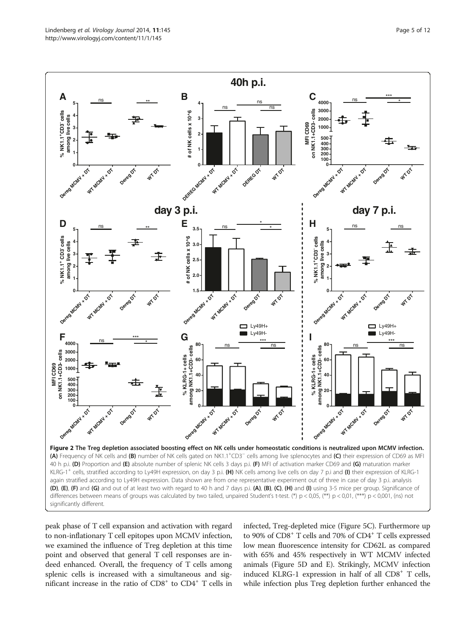<span id="page-4-0"></span>

peak phase of T cell expansion and activation with regard to non-inflationary T cell epitopes upon MCMV infection, we examined the influence of Treg depletion at this time point and observed that general T cell responses are indeed enhanced. Overall, the frequency of T cells among splenic cells is increased with a simultaneous and significant increase in the ratio of  $CD8<sup>+</sup>$  to  $CD4<sup>+</sup>$  T cells in infected, Treg-depleted mice (Figure [5](#page-6-0)C). Furthermore up to 90% of CD8<sup>+</sup> T cells and 70% of CD4<sup>+</sup> T cells expressed low mean fluorescence intensity for CD62L as compared with 65% and 45% respectively in WT MCMV infected animals (Figure [5](#page-6-0)D and E). Strikingly, MCMV infection induced KLRG-1 expression in half of all  $CD8<sup>+</sup>$  T cells, while infection plus Treg depletion further enhanced the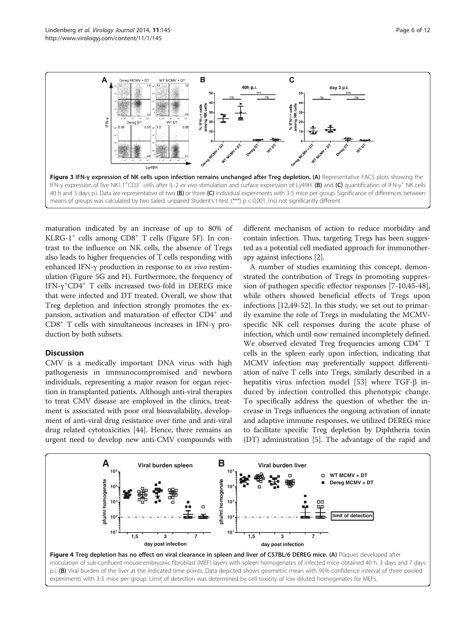<span id="page-5-0"></span>

maturation indicated by an increase of up to 80% of KLRG-1<sup>+</sup> cells among  $CD8$ <sup>+</sup> T cells (Figure [5](#page-6-0)F). In contrast to the influence on NK cells, the absence of Tregs also leads to higher frequencies of T cells responding with enhanced IFN-γ production in response to ex vivo restimulation (Figure [5](#page-6-0)G and H). Furthermore, the frequency of IFN- $\gamma$ <sup>+</sup>CD4<sup>+</sup> T cells increased two-fold in DEREG mice that were infected and DT treated. Overall, we show that Treg depletion and infection strongly promotes the expansion, activation and maturation of effector CD4<sup>+</sup> and CD8+ T cells with simultaneous increases in IFN-γ production by both subsets.

#### **Discussion**

CMV is a medically important DNA virus with high pathogenesis in immunocompromised and newborn individuals, representing a major reason for organ rejection in transplanted patients. Although anti-viral therapies to treat CMV disease are employed in the clinics, treatment is associated with poor oral bioavailability, development of anti-viral drug resistance over time and anti-viral drug related cytotoxicities [[44\]](#page-10-0). Hence, there remains an urgent need to develop new anti-CMV compounds with different mechanism of action to reduce morbidity and contain infection. Thus, targeting Tregs has been suggested as a potential cell mediated approach for immunotherapy against infections [\[2](#page-9-0)].

A number of studies examining this concept, demonstrated the contribution of Tregs in promoting suppression of pathogen specific effector responses [[7-10,](#page-9-0)[45-48](#page-10-0)], while others showed beneficial effects of Tregs upon infections [[12,](#page-9-0)[49-52\]](#page-10-0). In this study, we set out to primarily examine the role of Tregs in modulating the MCMVspecific NK cell responses during the acute phase of infection, which until now remained incompletely defined. We observed elevated Treg frequencies among CD4<sup>+</sup> T cells in the spleen early upon infection, indicating that MCMV infection may preferentially support differentiation of naïve T cells into Tregs, similarly described in a hepatitis virus infection model [\[53](#page-10-0)] where TGF-β induced by infection controlled this phenotypic change. To specifically address the question of whether the increase in Tregs influences the ongoing activation of innate and adaptive immune responses, we utilized DEREG mice to facilitate specific Treg depletion by Diphtheria toxin (DT) administration [[5\]](#page-9-0). The advantage of the rapid and

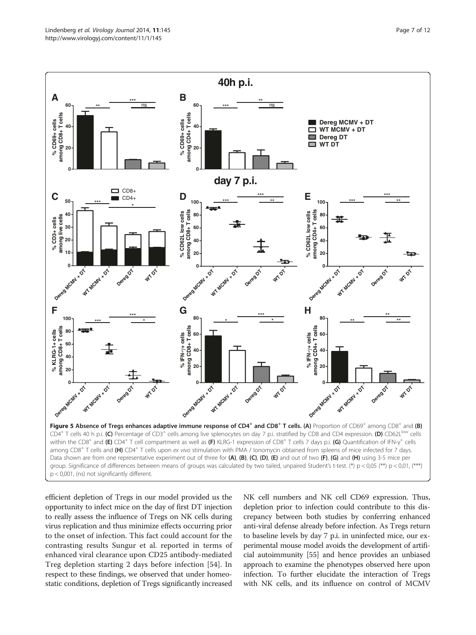<span id="page-6-0"></span>

efficient depletion of Tregs in our model provided us the opportunity to infect mice on the day of first DT injection to really assess the influence of Tregs on NK cells during virus replication and thus minimize effects occurring prior to the onset of infection. This fact could account for the contrasting results Sungur et al. reported in terms of enhanced viral clearance upon CD25 antibody-mediated Treg depletion starting 2 days before infection [\[54\]](#page-10-0). In respect to these findings, we observed that under homeostatic conditions, depletion of Tregs significantly increased

NK cell numbers and NK cell CD69 expression. Thus, depletion prior to infection could contribute to this discrepancy between both studies by conferring enhanced anti-viral defense already before infection. As Tregs return to baseline levels by day 7 p.i. in uninfected mice, our experimental mouse model avoids the development of artificial autoimmunity [[55](#page-10-0)] and hence provides an unbiased approach to examine the phenotypes observed here upon infection. To further elucidate the interaction of Tregs with NK cells, and its influence on control of MCMV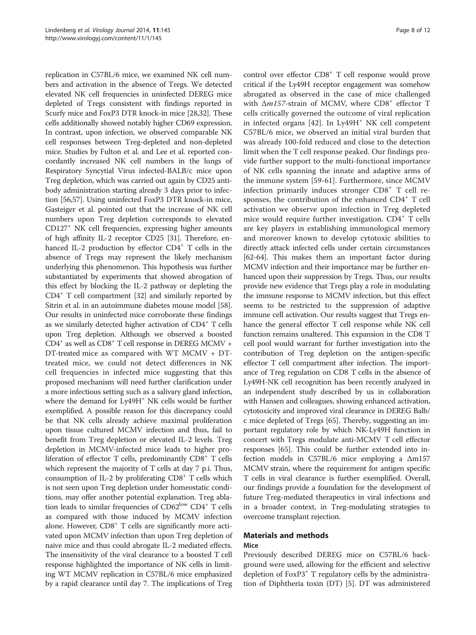replication in C57BL/6 mice, we examined NK cell numbers and activation in the absence of Tregs. We detected elevated NK cell frequencies in uninfected DEREG mice depleted of Tregs consistent with findings reported in Scurfy mice and FoxP3 DTR knock-in mice [\[28,32\]](#page-10-0). These cells additionally showed notably higher CD69 expression. In contrast, upon infection, we observed comparable NK cell responses between Treg-depleted and non-depleted mice. Studies by Fulton et al. and Lee et al. reported concordantly increased NK cell numbers in the lungs of Respiratory Syncytial Virus infected-BALB/c mice upon Treg depletion, which was carried out again by CD25 antibody administration starting already 3 days prior to infection [[56,57](#page-10-0)]. Using uninfected FoxP3 DTR knock-in mice, Gasteiger et al. pointed out that the increase of NK cell numbers upon Treg depletion corresponds to elevated CD127+ NK cell frequencies, expressing higher amounts of high affinity IL-2 receptor CD25 [\[31](#page-10-0)]. Therefore, enhanced IL-2 production by effector CD4<sup>+</sup> T cells in the absence of Tregs may represent the likely mechanism underlying this phenomenon. This hypothesis was further substantiated by experiments that showed abrogation of this effect by blocking the IL-2 pathway or depleting the CD4+ T cell compartment [[32](#page-10-0)] and similarly reported by Sitrin et al. in an autoimmune diabetes mouse model [[58](#page-10-0)]. Our results in uninfected mice corroborate these findings as we similarly detected higher activation of CD4+ T cells upon Treg depletion. Although we observed a boosted  $CD4^+$  as well as  $CD8^+$  T cell response in DEREG MCMV + DT-treated mice as compared with WT MCMV + DTtreated mice, we could not detect differences in NK cell frequencies in infected mice suggesting that this proposed mechanism will need further clarification under a more infectious setting such as a salivary gland infection, where the demand for Ly49H<sup>+</sup> NK cells would be further exemplified. A possible reason for this discrepancy could be that NK cells already achieve maximal proliferation upon tissue cultured MCMV infection and thus, fail to benefit from Treg depletion or elevated IL-2 levels. Treg depletion in MCMV-infected mice leads to higher proliferation of effector T cells, predominantly  $CDS<sup>+</sup>$  T cells which represent the majority of T cells at day 7 p.i. Thus, consumption of IL-2 by proliferating  $CDS<sup>+</sup> T$  cells which is not seen upon Treg depletion under homeostatic conditions, may offer another potential explanation. Treg ablation leads to similar frequencies of  $CD62^{\mathrm{low}}$   $CD4^{\mathrm{+}}$  T cells as compared with those induced by MCMV infection alone. However,  $CD8<sup>+</sup>$  T cells are significantly more activated upon MCMV infection than upon Treg depletion of naive mice and thus could abrogate IL-2 mediated effects. The insensitivity of the viral clearance to a boosted T cell response highlighted the importance of NK cells in limiting WT MCMV replication in C57BL/6 mice emphasized by a rapid clearance until day 7. The implications of Treg

control over effector CD8<sup>+</sup> T cell response would prove critical if the Ly49H receptor engagement was somehow abrogated as observed in the case of mice challenged with  $\Delta m$ 157-strain of MCMV, where CD8<sup>+</sup> effector T cells critically governed the outcome of viral replication in infected organs [\[42](#page-10-0)]. In Ly49H<sup>+</sup> NK cell competent C57BL/6 mice, we observed an initial viral burden that was already 100-fold reduced and close to the detection limit when the T cell response peaked. Our findings provide further support to the multi-functional importance of NK cells spanning the innate and adaptive arms of the immune system [[59-61](#page-10-0)]. Furthermore, since MCMV infection primarily induces stronger CD8<sup>+</sup> T cell responses, the contribution of the enhanced  $CD4^+$  T cell activation we observe upon infection in Treg depleted mice would require further investigation.  $CD4^+$  T cells are key players in establishing immunological memory and moreover known to develop cytotoxic abilities to directly attack infected cells under certain circumstances [[62](#page-10-0)-[64\]](#page-10-0). This makes them an important factor during MCMV infection and their importance may be further enhanced upon their suppression by Tregs. Thus, our results provide new evidence that Tregs play a role in modulating the immune response to MCMV infection, but this effect seems to be restricted to the suppression of adaptive immune cell activation. Our results suggest that Tregs enhance the general effector T cell response while NK cell function remains unaltered. This expansion in the CD8 T cell pool would warrant for further investigation into the contribution of Treg depletion on the antigen-specific effector T cell compartment after infection. The importance of Treg regulation on CD8 T cells in the absence of Ly49H-NK cell recognition has been recently analyzed in an independent study described by us in collaboration with Hansen and colleagues, showing enhanced activation, cytotoxicity and improved viral clearance in DEREG Balb/ c mice depleted of Tregs [\[65\]](#page-10-0). Thereby, suggesting an important regulatory role by which NK-Ly49H function in concert with Tregs modulate anti-MCMV T cell effector responses [\[65\]](#page-10-0). This could be further extended into infection models in C57BL/6 mice employing a Δm157 MCMV strain, where the requirement for antigen specific T cells in viral clearance is further exemplified. Overall, our findings provide a foundation for the development of future Treg-mediated therapeutics in viral infections and in a broader context, in Treg-modulating strategies to overcome transplant rejection.

#### Materials and methods Mice

Previously described DEREG mice on C57BL/6 background were used, allowing for the efficient and selective depletion of FoxP3<sup>+</sup> T regulatory cells by the administration of Diphtheria toxin (DT) [[5](#page-9-0)]. DT was administered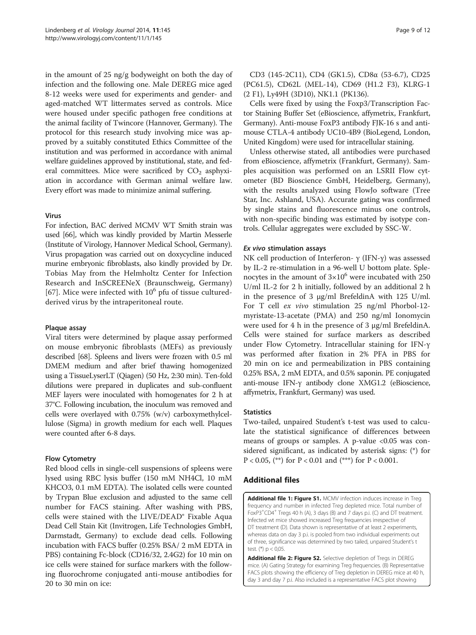<span id="page-8-0"></span>in the amount of 25 ng/g bodyweight on both the day of infection and the following one. Male DEREG mice aged 8-12 weeks were used for experiments and gender- and aged-matched WT littermates served as controls. Mice were housed under specific pathogen free conditions at the animal facility of Twincore (Hannover, Germany). The protocol for this research study involving mice was approved by a suitably constituted Ethics Committee of the institution and was performed in accordance with animal welfare guidelines approved by institutional, state, and federal committees. Mice were sacrificed by  $CO<sub>2</sub>$  asphyxiation in accordance with German animal welfare law. Every effort was made to minimize animal suffering.

#### Virus

For infection, BAC derived MCMV WT Smith strain was used [[66\]](#page-11-0), which was kindly provided by Martin Messerle (Institute of Virology, Hannover Medical School, Germany). Virus propagation was carried out on doxycycline induced murine embryonic fibroblasts, also kindly provided by Dr. Tobias May from the Helmholtz Center for Infection Research and InSCREENeX (Braunschweig, Germany) [[67\]](#page-11-0). Mice were infected with  $10^6$  pfu of tissue culturedderived virus by the intraperitoneal route.

#### Plaque assay

Viral titers were determined by plaque assay performed on mouse embryonic fibroblasts (MEFs) as previously described [\[68\]](#page-11-0). Spleens and livers were frozen with 0.5 ml DMEM medium and after brief thawing homogenized using a TissueLyserLT (Qiagen) (50 Hz, 2:30 min). Ten-fold dilutions were prepared in duplicates and sub-confluent MEF layers were inoculated with homogenates for 2 h at 37°C. Following incubation, the inoculum was removed and cells were overlayed with 0.75% (w/v) carboxymethylcellulose (Sigma) in growth medium for each well. Plaques were counted after 6-8 days.

# Flow Cytometry

Red blood cells in single-cell suspensions of spleens were lysed using RBC lysis buffer (150 mM NH4Cl, 10 mM KHCO3, 0.1 mM EDTA). The isolated cells were counted by Trypan Blue exclusion and adjusted to the same cell number for FACS staining. After washing with PBS, cells were stained with the LIVE/DEAD® Fixable Aqua Dead Cell Stain Kit (Invitrogen, Life Technologies GmbH, Darmstadt, Germany) to exclude dead cells. Following incubation with FACS buffer (0.25% BSA/ 2 mM EDTA in PBS) containing Fc-block (CD16/32, 2.4G2) for 10 min on ice cells were stained for surface markers with the following fluorochrome conjugated anti-mouse antibodies for 20 to 30 min on ice:

Cells were fixed by using the Foxp3/Transcription Factor Staining Buffer Set (eBioscience, affymetrix, Frankfurt, Germany). Anti-mouse FoxP3 antibody FJK-16 s and antimouse CTLA-4 antibody UC10-4B9 (BioLegend, London, United Kingdom) were used for intracellular staining.

Unless otherwise stated, all antibodies were purchased from eBioscience, affymetrix (Frankfurt, Germany). Samples acquisition was performed on an LSRII Flow cytometer (BD Bioscience GmbH, Heidelberg, Germany), with the results analyzed using FlowJo software (Tree Star, Inc. Ashland, USA). Accurate gating was confirmed by single stains and fluorescence minus one controls, with non-specific binding was estimated by isotype controls. Cellular aggregates were excluded by SSC-W.

#### Ex vivo stimulation assays

NK cell production of Interferon-  $\gamma$  (IFN- $\gamma$ ) was assessed by IL-2 re-stimulation in a 96-well U bottom plate. Splenocytes in the amount of  $3\times10^6$  were incubated with 250 U/ml IL-2 for 2 h initially, followed by an additional 2 h in the presence of 3 μg/ml BrefeldinA with 125 U/ml. For T cell ex vivo stimulation 25 ng/ml Phorbol-12 myristate-13-acetate (PMA) and 250 ng/ml Ionomycin were used for 4 h in the presence of 3 μg/ml BrefeldinA. Cells were stained for surface markers as described under Flow Cytometry. Intracellular staining for IFN-γ was performed after fixation in 2% PFA in PBS for 20 min on ice and permeabilization in PBS containing 0.25% BSA, 2 mM EDTA, and 0.5% saponin. PE conjugated anti-mouse IFN-γ antibody clone XMG1.2 (eBioscience, affymetrix, Frankfurt, Germany) was used.

# **Statistics**

Two-tailed, unpaired Student's t-test was used to calculate the statistical significance of differences between means of groups or samples. A p-value  $< 0.05$  was considered significant, as indicated by asterisk signs: (\*) for P < 0.05, (\*\*) for P < 0.01 and (\*\*\*) for P < 0.001.

# Additional files

[Additional file 1: Figure S1.](http://www.biomedcentral.com/content/supplementary/1743-422X-11-145-S1.pdf) MCMV infection induces increase in Treg frequency and number in infected Treg depleted mice. Total number of FoxP3<sup>+</sup>CD4<sup>+</sup> Tregs 40 h (A), 3 days (B) and 7 days p.i. (C) and DT treatment. Infected wt mice showed increased Treg frequencies irrespective of DT treatment (D). Data shown is representative of at least 2 experiments, whereas data on day 3 p.i. is pooled from two individual experiments out of three, significance was determined by two tailed, unpaired Student's t test. (\*) p < 0,05.

[Additional file 2: Figure S2.](http://www.biomedcentral.com/content/supplementary/1743-422X-11-145-S2.pdf) Selective depletion of Tregs in DEREG mice. (A) Gating Strategy for examining Treg frequencies. (B) Representative FACS plots showing the efficiency of Treg depletion in DEREG mice at 40 h, day 3 and day 7 p.i. Also included is a representative FACS plot showing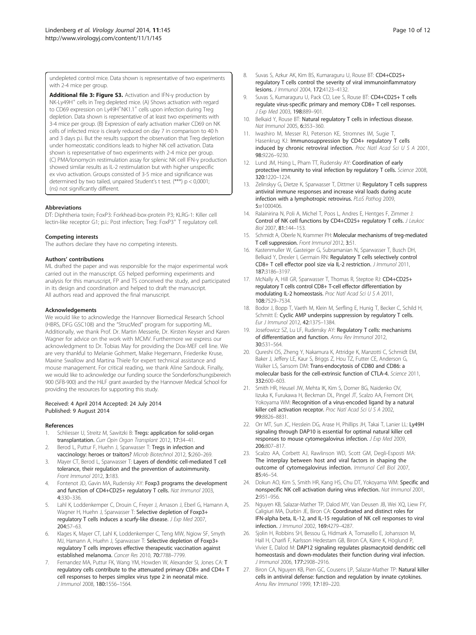<span id="page-9-0"></span>undepleted control mice. Data shown is representative of two experiments with 2-4 mice per group.

[Additional file 3: Figure S3.](http://www.biomedcentral.com/content/supplementary/1743-422X-11-145-S3.pdf) Activation and IFN-γ production by NK-Ly49H<sup>+</sup> cells in Treg depleted mice. (A) Shows activation with regard to CD69 expression on Ly49H<sup>+</sup>NK1.1<sup>+</sup> cells upon infection during Treg depletion. Data shown is representative of at least two experiments with 3-4 mice per group. (B) Expression of early activation marker CD69 on NK cells of infected mice is clearly reduced on day 7 in comparison to 40 h and 3 days p.i. But the results support the observation that Treg depletion under homeostatic conditions leads to higher NK cell activation. Data shown is representative of two experiments with 2-4 mice per group. (C) PMA/Ionomycin restimulation assay for splenic NK cell IFN-γ production showed similar results as IL-2 restimulation but with higher unspecific ex vivo activation. Groups consisted of 3-5 mice and significance was determined by two tailed, unpaired Student's t test. (\*\*\*) p < 0,0001; (ns) not significantly different.

#### Abbreviations

DT: Diphtheria toxin; FoxP3: Forkhead-box-protein P3; KLRG-1: Killer cell lectin-like receptor G1; p.i.: Post infection; Treg: FoxP3<sup>+</sup> T regulatory cell.

#### Competing interests

The authors declare they have no competing interests.

#### Authors' contributions

ML drafted the paper and was responsible for the major experimental work carried out in the manuscript. GS helped performing experiments and analysis for this manuscript, FP and TS conceived the study, and participated in its design and coordination and helped to draft the manuscript. All authors read and approved the final manuscript.

#### Acknowledgements

We would like to acknowledge the Hannover Biomedical Research School (HBRS, DFG GSC108) and the "StrucMed" program for supporting ML. Additionally, we thank Prof. Dr. Martin Messerle, Dr. Kirsten Keyser and Karen Wagner for advice on the work with MCMV. Furthermore we express our acknowledgment to Dr. Tobias May for providing the Dox-MEF cell line. We are very thankful to Melanie Gohmert, Maike Hegemann, Friederike Kruse, Maxine Swallow and Martina Thiele for expert technical assistance and mouse management. For critical reading, we thank Aline Sandouk. Finally, we would like to acknowledge our funding source the Sonderforschungsbereich 900 (SFB-900) and the HiLF grant awarded by the Hannover Medical School for providing the resources for supporting this study.

#### Received: 4 April 2014 Accepted: 24 July 2014 Published: 9 August 2014

#### References

- 1. Schliesser U, Streitz M, Sawitzki B: Tregs: application for solid-organ transplantation. Curr Opin Organ Transplant 2012, 17:34–41.
- 2. Berod L, Puttur F, Huehn J, Sparwasser T: Tregs in infection and vaccinology: heroes or traitors? Microb Biotechnol 2012, 5:260–269.
- 3. Mayer CT, Berod L, Sparwasser T: Layers of dendritic cell-mediated T cell tolerance, their regulation and the prevention of autoimmunity. Front Immunol 2012, 3:183.
- 4. Fontenot JD, Gavin MA, Rudensky AY: Foxp3 programs the development and function of CD4+CD25+ regulatory T cells. Nat Immunol 2003, 4:330–336.
- Lahl K, Loddenkemper C, Drouin C, Freyer J, Arnason J, Eberl G, Hamann A, Wagner H, Huehn J, Sparwasser T: Selective depletion of Foxp3+ regulatory T cells induces a scurfy-like disease. J Exp Med 2007, 204:57–63.
- 6. Klages K, Mayer CT, Lahl K, Loddenkemper C, Teng MW, Ngiow SF, Smyth MJ, Hamann A, Huehn J, Sparwasser T: Selective depletion of Foxp3+ regulatory T cells improves effective therapeutic vaccination against established melanoma. Cancer Res 2010, 70:7788–7799.
- Fernandez MA, Puttur FK, Wang YM, Howden W, Alexander SI, Jones CA: T regulatory cells contribute to the attenuated primary CD8+ and CD4+ T cell responses to herpes simplex virus type 2 in neonatal mice. J Immunol 2008, 180:1556–1564.
- 8. Suvas S, Azkur AK, Kim BS, Kumaraguru U, Rouse BT: CD4+CD25+ regulatory T cells control the severity of viral immunoinflammatory lesions. J Immunol 2004, 172:4123–4132.
- 9. Suvas S, Kumaraguru U, Pack CD, Lee S, Rouse BT: CD4+CD25+ T cells regulate virus-specific primary and memory CD8+ T cell responses. J Exp Med 2003, 198:889–901.
- 10. Belkaid Y, Rouse BT: Natural regulatory T cells in infectious disease. Nat Immunol 2005, 6:353–360.
- 11. Iwashiro M, Messer RJ, Peterson KE, Stromnes IM, Sugie T, Hasenkrug KJ: Immunosuppression by CD4+ regulatory T cells induced by chronic retroviral infection. Proc Natl Acad Sci U S A 2001, 98:9226–9230.
- 12. Lund JM, Hsing L, Pham TT, Rudensky AY: Coordination of early protective immunity to viral infection by regulatory T cells. Science 2008, 320:1220–1224.
- 13. Zelinskyy G, Dietze K, Sparwasser T, Dittmer U: Regulatory T cells suppress antiviral immune responses and increase viral loads during acute infection with a lymphotropic retrovirus. PLoS Pathog 2009, 5:e1000406.
- 14. Ralainirina N, Poli A, Michel T, Poos L, Andres E, Hentges F, Zimmer J: Control of NK cell functions by CD4+CD25+ regulatory T cells. J Leukoc Biol 2007, 81:144–153.
- 15. Schmidt A, Oberle N, Krammer PH: Molecular mechanisms of treg-mediated T cell suppression. Front Immunol 2012, 3:51.
- 16. Kastenmuller W, Gasteiger G, Subramanian N, Sparwasser T, Busch DH, Belkaid Y, Drexler I, Germain RN: Regulatory T cells selectively control CD8+ T cell effector pool size via IL-2 restriction. J Immunol 2011, 187:3186–3197.
- 17. McNally A, Hill GR, Sparwasser T, Thomas R, Steptoe RJ: CD4+CD25+ regulatory T cells control CD8+ T-cell effector differentiation by modulating IL-2 homeostasis. Proc Natl Acad Sci U S A 2011, 108:7529–7534.
- 18. Bodor J, Bopp T, Vaeth M, Klein M, Serfling E, Hunig T, Becker C, Schild H, Schmitt E: Cyclic AMP underpins suppression by regulatory T cells. Eur J Immunol 2012, 42:1375–1384.
- 19. Josefowicz SZ, Lu LF, Rudensky AY: Regulatory T cells: mechanisms of differentiation and function. Annu Rev Immunol 2012, 30:531–564.
- 20. Qureshi OS, Zheng Y, Nakamura K, Attridge K, Manzotti C, Schmidt EM, Baker J, Jeffery LE, Kaur S, Briggs Z, Hou TZ, Futter CE, Anderson G, Walker LS, Sansom DM: Trans-endocytosis of CD80 and CD86: a molecular basis for the cell-extrinsic function of CTLA-4. Science 2011, 332:600–603.
- 21. Smith HR, Heusel JW, Mehta IK, Kim S, Dorner BG, Naidenko OV, Iizuka K, Furukawa H, Beckman DL, Pingel JT, Scalzo AA, Fremont DH, Yokoyama WM: Recognition of a virus-encoded ligand by a natural killer cell activation receptor. Proc Natl Acad Sci U S A 2002, 99:8826–8831.
- 22. Orr MT, Sun JC, Hesslein DG, Arase H, Phillips JH, Takai T, Lanier LL: Ly49H signaling through DAP10 is essential for optimal natural killer cell responses to mouse cytomegalovirus infection. J Exp Med 2009, 206:807–817.
- 23. Scalzo AA, Corbett AJ, Rawlinson WD, Scott GM, Degli-Esposti MA: The interplay between host and viral factors in shaping the outcome of cytomegalovirus infection. Immunol Cell Biol 2007, 85:46–54.
- 24. Dokun AO, Kim S, Smith HR, Kang HS, Chu DT, Yokoyama WM: Specific and nonspecific NK cell activation during virus infection. Nat Immunol 2001, 2:951–956.
- 25. Nguyen KB, Salazar-Mather TP, Dalod MY, Van Deusen JB, Wei XQ, Liew FY, Caligiuri MA, Durbin JE, Biron CA: Coordinated and distinct roles for IFN-alpha beta, IL-12, and IL-15 regulation of NK cell responses to viral infection. J Immunol 2002, 169:4279–4287.
- Sjolin H, Robbins SH, Bessou G, Hidmark A, Tomasello E, Johansson M, Hall H, Charifi F, Karlsson Hedestam GB, Biron CA, Kärre K, Höglund P, Vivier E, Dalod M: DAP12 signaling regulates plasmacytoid dendritic cell homeostasis and down-modulates their function during viral infection. J Immunol 2006, 177:2908–2916.
- 27. Biron CA, Nguyen KB, Pien GC, Cousens LP, Salazar-Mather TP: Natural killer cells in antiviral defense: function and regulation by innate cytokines. Annu Rev Immunol 1999, 17:189–220.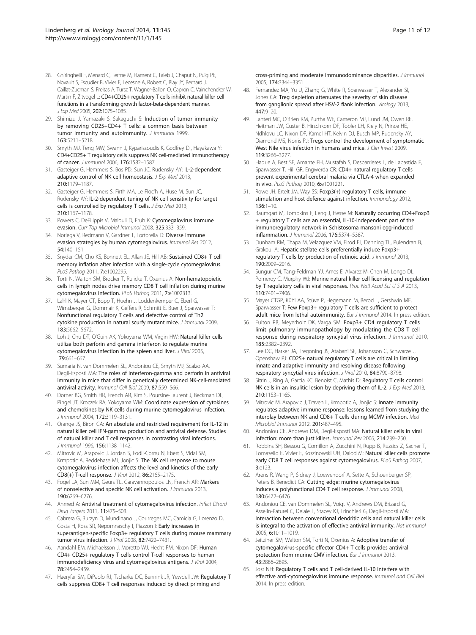- <span id="page-10-0"></span>28. Ghiringhelli F, Menard C, Terme M, Flament C, Taieb J, Chaput N, Puig PE, Novault S, Escudier B, Vivier E, Lecesne A, Robert C, Blay JY, Bernard J, Caillat-Zucman S, Freitas A, Tursz T, Wagner-Ballon O, Capron C, Vainchencker W, Martin F, Zitvogel L: CD4+CD25+ regulatory T cells inhibit natural killer cell functions in a transforming growth factor-beta-dependent manner. J Exp Med 2005, 202:1075–1085.
- 29. Shimizu J, Yamazaki S, Sakaguchi S: Induction of tumor immunity by removing CD25+CD4+ T cells: a common basis between tumor immunity and autoimmunity. J Immunol 1999, 163:5211–5218.
- 30. Smyth MJ, Teng MW, Swann J, Kyparissoudis K, Godfrey DI, Hayakawa Y: CD4+CD25+ T regulatory cells suppress NK cell-mediated immunotherapy of cancer. J Immunol 2006, 176:1582–1587.
- 31. Gasteiger G, Hemmers S, Bos PD, Sun JC, Rudensky AY: IL-2-dependent adaptive control of NK cell homeostasis. J Exp Med 2013, 210:1179–1187.
- 32. Gasteiger G, Hemmers S, Firth MA, Le Floc'h A, Huse M, Sun JC, Rudensky AY: IL-2-dependent tuning of NK cell sensitivity for target cells is controlled by regulatory T cells. J Exp Med 2013, 210:1167–1178.
- 33. Powers C, DeFilippis V, Malouli D, Fruh K: Cytomegalovirus immune evasion. Curr Top Microbiol Immunol 2008, 325:333–359.
- 34. Noriega V, Redmann V, Gardner T, Tortorella D: Diverse immune evasion strategies by human cytomegalovirus. Immunol Res 2012, 54:140–151.
- 35. Snyder CM, Cho KS, Bonnett EL, Allan JE, Hill AB: Sustained CD8+ T cell memory inflation after infection with a single-cycle cytomegalovirus. PLoS Pathog 2011, 7:e1002295.
- 36. Torti N, Walton SM, Brocker T, Rulicke T, Oxenius A: Non-hematopoietic cells in lymph nodes drive memory CD8 T cell inflation during murine cytomegalovirus infection. PLoS Pathog 2011, 7:e1002313.
- 37. Lahl K, Mayer CT, Bopp T, Huehn J, Loddenkemper C, Eberl G, Wirnsberger G, Dornmair K, Geffers R, Schmitt E, Buer J, Sparwasser T: Nonfunctional regulatory T cells and defective control of Th2 cytokine production in natural scurfy mutant mice. J Immunol 2009, 183:5662–5672.
- 38. Loh J, Chu DT, O'Guin AK, Yokoyama WM, Virgin HW: Natural killer cells utilize both perforin and gamma interferon to regulate murine cytomegalovirus infection in the spleen and liver. J Virol 2005, 79:661–667.
- 39. Sumaria N, van Dommelen SL, Andoniou CE, Smyth MJ, Scalzo AA, Degli-Esposti MA: The roles of interferon-gamma and perforin in antiviral immunity in mice that differ in genetically determined NK-cell-mediated antiviral activity. Immunol Cell Biol 2009, 87:559–566.
- 40. Dorner BG, Smith HR, French AR, Kim S, Poursine-Laurent J, Beckman DL, Pingel JT, Kroczek RA, Yokoyama WM: Coordinate expression of cytokines and chemokines by NK cells during murine cytomegalovirus infection. J Immunol 2004, 172:3119–3131.
- 41. Orange JS, Biron CA: An absolute and restricted requirement for IL-12 in natural killer cell IFN-gamma production and antiviral defense. Studies of natural killer and T cell responses in contrasting viral infections. J Immunol 1996, 156:1138–1142.
- 42. Mitrovic M, Arapovic J, Jordan S, Fodil-Cornu N, Ebert S, Vidal SM, Krmpotic A, Reddehase MJ, Jonjic S: The NK cell response to mouse cytomegalovirus infection affects the level and kinetics of the early CD8(+) T-cell response. J Virol 2012, 86:2165–2175.
- 43. Fogel LA, Sun MM, Geurs TL, Carayannopoulos LN, French AR: Markers of nonselective and specific NK cell activation. *J Immunol* 2013, 190:6269–6276.
- 44. Ahmed A: Antiviral treatment of cytomegalovirus infection. Infect Disord Drug Targets 2011, 11:475–503.
- 45. Cabrera G, Burzyn D, Mundinano J, Courreges MC, Camicia G, Lorenzo D, Costa H, Ross SR, Nepomnaschy I, Piazzon I: Early increases in superantigen-specific Foxp3+ regulatory T cells during mouse mammary tumor virus infection. J Virol 2008, 82:7422–7431.
- 46. Aandahl EM, Michaelsson J, Moretto WJ, Hecht FM, Nixon DF: Human CD4+ CD25+ regulatory T cells control T-cell responses to human immunodeficiency virus and cytomegalovirus antigens. J Virol 2004, 78:2454–2459.
- 47. Haeryfar SM, DiPaolo RJ, Tscharke DC, Bennink JR, Yewdell JW: Regulatory T cells suppress CD8+ T cell responses induced by direct priming and

cross-priming and moderate immunodominance disparities. J Immunol 2005, 174:3344–3351.

- 48. Fernandez MA, Yu U, Zhang G, White R, Sparwasser T, Alexander SI, Jones CA: Treg depletion attenuates the severity of skin disease from ganglionic spread after HSV-2 flank infection. Virology 2013, 447:9–20.
- 49. Lanteri MC, O'Brien KM, Purtha WE, Cameron MJ, Lund JM, Owen RE, Heitman JW, Custer B, Hirschkorn DF, Tobler LH, Kiely N, Prince HE, Ndhlovu LC, Nixon DF, Kamel HT, Kelvin DJ, Busch MP, Rudensky AY, Diamond MS, Norris PJ: Tregs control the development of symptomatic West Nile virus infection in humans and mice. J Clin Invest 2009, 119:3266–3277.
- 50. Haque A, Best SE, Amante FH, Mustafah S, Desbarrieres L, de Labastida F, Sparwasser T, Hill GR, Engwerda CR: CD4+ natural regulatory T cells prevent experimental cerebral malaria via CTLA-4 when expanded in vivo. PLoS Pathog 2010, 6:e1001221.
- 51. Rowe JH, Ertelt JM, Way SS: Foxp3(+) regulatory T cells, immune stimulation and host defence against infection. Immunology 2012, 136:1–10.
- 52. Baumgart M, Tompkins F, Leng J, Hesse M: Naturally occurring CD4+Foxp3 + regulatory T cells are an essential, IL-10-independent part of the immunoregulatory network in Schistosoma mansoni egg-induced inflammation. J Immunol 2006, 176:5374–5387.
- 53. Dunham RM, Thapa M, Velazquez VM, Elrod EJ, Denning TL, Pulendran B, Grakoui A: Hepatic stellate cells preferentially induce Foxp3+ regulatory T cells by production of retinoic acid. J Immunol 2013, 190:2009–2016.
- 54. Sungur CM, Tang-Feldman YJ, Ames E, Alvarez M, Chen M, Longo DL, Pomeroy C, Murphy WJ: Murine natural killer cell licensing and regulation by T regulatory cells in viral responses. Proc Natl Acad Sci U S A 2013, 110:7401–7406.
- 55. Mayer CTGP, Kühl AA, Stüve P, Hegemann M, Berod L, Gershwin ME, Sparwasser T: Few Foxp3+ regulatory T cells are sufficient to protect adult mice from lethal autoimmunity. Eur J Immunol 2014. In press edition.
- 56. Fulton RB, Meyerholz DK, Varga SM: Foxp3+ CD4 regulatory T cells limit pulmonary immunopathology by modulating the CD8 T cell response during respiratory syncytial virus infection. J Immunol 2010, 185:2382–2392.
- 57. Lee DC, Harker JA, Tregoning JS, Atabani SF, Johansson C, Schwarze J, Openshaw PJ: CD25+ natural regulatory T cells are critical in limiting innate and adaptive immunity and resolving disease following respiratory syncytial virus infection. J Virol 2010, 84:8790–8798.
- 58. Sitrin J, Ring A, Garcia KC, Benoist C, Mathis D: Regulatory T cells control NK cells in an insulitic lesion by depriving them of IL-2. J Exp Med 2013, 210:1153–1165.
- 59. Mitrovic M, Arapovic J, Traven L, Krmpotic A, Jonjic S: Innate immunity regulates adaptive immune response: lessons learned from studying the interplay between NK and CD8+ T cells during MCMV infection. Med Microbiol Immunol 2012, 201:487–495.
- Andoniou CE, Andrews DM, Degli-Esposti MA: Natural killer cells in viral infection: more than just killers. Immunol Rev 2006, 214:239-250.
- 61. Robbins SH, Bessou G, Cornillon A, Zucchini N, Rupp B, Ruzsics Z, Sacher T, Tomasello E, Vivier E, Koszinowski UH, Dalod M: Natural killer cells promote early CD8 T cell responses against cytomegalovirus. PLoS Pathog 2007, 3:e123.
- 62. Arens R, Wang P, Sidney J, Loewendorf A, Sette A, Schoenberger SP, Peters B, Benedict CA: Cutting edge: murine cytomegalovirus induces a polyfunctional CD4 T cell response. *J Immunol* 2008, 180:6472–6476.
- 63. Andoniou CE, van Dommelen SL, Voigt V, Andrews DM, Brizard G, Asselin-Paturel C, Delale T, Stacey KJ, Trinchieri G, Degli-Esposti MA: Interaction between conventional dendritic cells and natural killer cells is integral to the activation of effective antiviral immunity. Nat Immunol 2005, 6:1011–1019.
- 64. Jeitziner SM, Walton SM, Torti N, Oxenius A: Adoptive transfer of cytomegalovirus-specific effector CD4+ T cells provides antiviral protection from murine CMV infection. Eur J Immunol 2013, 43:2886–2895.
- 65. Jost NH: Regulatory T cells and T cell-derived IL-10 interfere with effective anti-cytomegalovirus immune response. Immunol and Cell Biol 2014. In press edition.